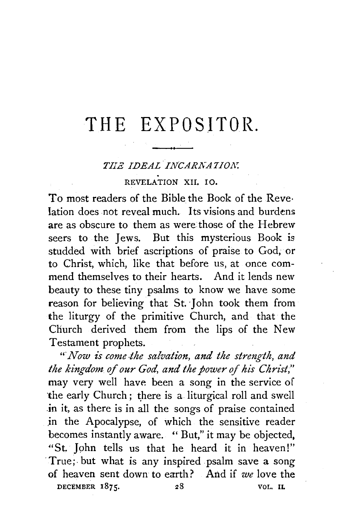## THE EXPOSITOR.

## *TIIE IDEAL INCARNATION.*<br>
REVELATION XII. IO.

To most readers of the Bible the Book of the Reve· Iation does not reveal much. Its visions and burdens are as obscure to them as were those of the Hebrew seers to the Jews. But this mysterious Book is studded with brief ascriptions of praise to God, or to Christ, which, like that before us, at once commend themselves to their hearts. And it lends new beauty to these tiny psalms to know we have some reason for believing that St. John took them from the liturgy of the primitive Church, and that the Church derived them from the lips of the New Testament prophets.

*"·Now is come-the salvation, and the streng-th, and*  the kingdom of our God, and the power of his Christ," may very well have been a song in the service of the early Church; there is a liturgical roll and swell .in it, as there is in all the songs of praise contained .in the Apocalypse, of which the sensitive reader becomes instantly aware. " But," it may be objected, "St. John tells us that he heard it in heaven!" True; but what is any inspired psalm save a song of heaven sent down to earth? And if *we* love the DECEMBER  $1875$ . 28 VOL. IL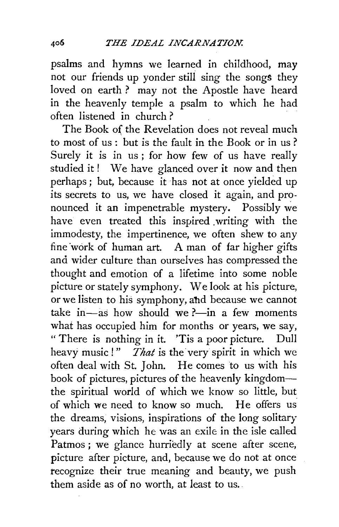psalms and hymns we learned in childhood, may not our friends up yonder still sing the songs they loved on earth? may not the Apostle have heard in the heavenly temple a psalm to which he had often listened in church?

The Book of the Revelation does not reveal much to most of us : but is the fault in the Book or in us ? Surely it is in us; for how few of us have really studied it ! We have glanced over it now and then perhaps ; but, because it has not at once yielded up its secrets to us, we have closed it again, and pronounced it an impenetrable mystery. Possibly we have even treated this inspired .writing with the immodesty, the impertinence, we often shew to any fine work of human art. A man of far higher gifts and wider culture than ourselves has compressed the thought and emotion of a lifetime into some noble picture or stately symphony. We look at his picture, or we listen to his symphony, abd because we cannot take in—as how should we ?—in a few moments what has occupied him for months or years, we say, " There is nothing in it. 'Tis a poor picture. Dull heavy music!" *That* is the very spirit in which we often deal with St. John. He comes to us with his book of pictures, pictures of the heavenly kingdomthe spiritual world of which we know so little, but of which we need to know so much. He offers us the dreams, visions, inspirations of the long solitary years during which he was an exile in the isle called Patmos; we glance hurriedly at scene after scene, picture after picture, and, because we do not at once recognize their true meaning and beauty, we push them aside as of no worth, at least to us.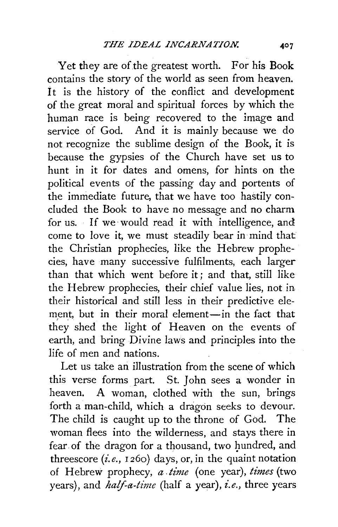Yet they are of the greatest worth. For his Book contains the story of the world as seen from heaven. It is the history of the conflict and development of the great moral and spiritual forces by which the human race is being recovered to the image and service of God. And it is mainly because we do not recognize the sublime design of the Book, it is because the gypsies of the Church have set us to hunt in it for dates and omens, for hints on the political events of the passing day and portents of the immediate future, that we have too hastily concluded the Book to have no message and no charm for us. If we would read it with intelligence, and come to love it, we must steadily bear in mind that the Christian prophecies, like the Hebrew prophecies, have many successive fulfilments, each larger than that which went before it; and that, still like the Hebrew prophecies, their chief value lies, not in their historical and still less in their predictive element, but in their moral element-in the fact that they shed the light of Heaven on the events of earth, and bring Divine laws and principles into the life of men and nations.

Let us take an illustration from the scene of which this verse forms part. St. *]* ohn sees a wonder in heaven. A woman, clothed with the sun, brings forth a man-child, which a dragon seeks to devour. The child is caught up to the throne of God. The woman flees into the wilderness, and stays there in fear of the dragon for a thousand, two hundred, and threescore *(i.e.,* 126o) days, or, in the quaint notation of Hebrew prophecy, *a .time* (one year), *times* (two years), and *half-a-time* (half a year), *i.e.,* three years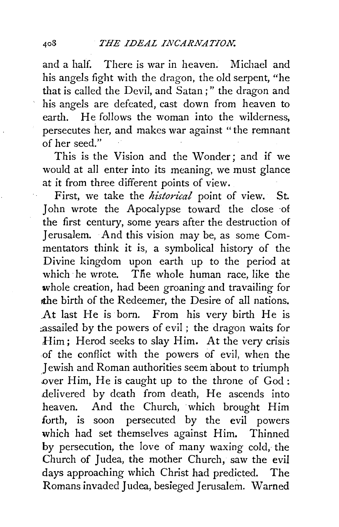and a half. There is war in heaven. Michael and his angels fight with the dragon, the old serpent, "he that is called the Devil, and Satan ; " the dragon and his angels are defeated, cast down from heaven to earth. He follows the woman into the wilderness, persecutes her, and makes war against "the remnant of her seed."

This is the Vision and the Wonder; and if we would at all enter into its meaning, we must glance at it from three different points of view.

First, we take the *historical* point of view. St. John wrote the Apocalypse toward the close ·of the first century, some years after the destruction of Jerusalem. And this vision may be, as some Commentators think it is, a symbolical history of the Divine kingdom upon earth up to the period at which he wrote. The whole human race, like the whole creation, had been groaning and travailing for the birth of the Redeemer, the Desire of all nations. At last He is born. From his very birth He is :assailed by the powers of evil ; the dragon waits for Him; Herod seeks to slay Him. At the very crisis .of the conflict with the powers of evil, when the Jewish and Roman authorities seem about to triumph .over Him, He is caught up to the throne of God: delivered by death from death, He ascends into heaven. And the Church, which brought Him forth, is soon persecuted by the evil powers which had set themselves against Him. Thinned by persecution, the love of many waxing cold, the Church of Judea, the mother Church, saw the evil days approaching which Christ had predicted. The Romans invaded J udea, besieged Jerusalem. Warned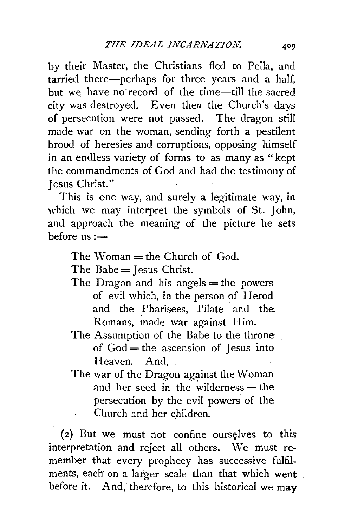by their Master, the Christians fled to Pella, and tarried there-perhaps for three years and a half, but we have no·record of the time-till the sacred city was destroyed. Even then the Church's days of persecution were not passed. The dragon still made war on the woman, sending forth a pestilent brood of heresies and corruptions, opposing himself in an endless variety of forms to as many as " kept the commandments of God and had the testimony of Jesus Christ."

This is one way, and surely a legitimate way, in which we may interpret the symbols of St. John, and approach the meaning of the picture he sets before  $us :=$ 

The Woman  $=$  the Church of God.

The Babe  $=$  Jesus Christ.

- The Dragon and his angels  $=$  the powers of evil which, in the person of Herod and the Pharisees, Pilate and the. Romans, made war against Him.
- The Assumption of the Babe to the throne of  $God = the ascension of Iesus into$ Heaven. And,
- The war of the Dragon against the Woman and her seed in the wilderness  $=$  the persecution by the evil powers of the Church and her children.

 $(2)$  But we must not confine ourselves to this interpretation and reject all others. We must remember that every prophecy has successive fulfilments; each on a larger scale than that which went before it. And; therefore, to this historical we may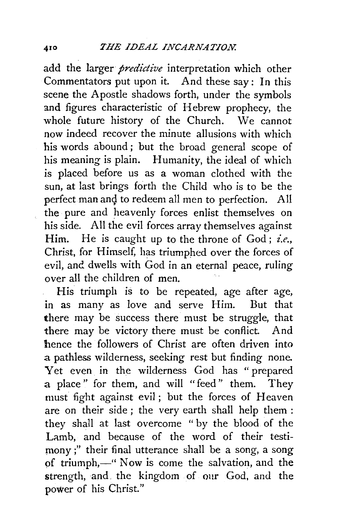add the larger *predictive* interpretation which other Commentators put upon it. And these say: In this scene the Apostle shadows forth, under the symbols and figures characteristic of Hebrew prophecy, the whole future history of the Church. We cannot now indeed recover the minute allusions with which his words abound ; but the broad general scope of his meaning is plain. Humanity, the ideal of which is placed before us as a woman clothed with the sun, at last brings forth the Child who is to be the perfect man and to redeem all men to perfection. All the pure and heavenly forces enlist themselves on his side. All the evil forces array themselves against Him. He is caught up to the throne of God; *i.e.,*  Christ, for Himself, has triumphed over the forces of evil, and dwells with God in an eternal peace, ruling over all the children of men.

His triumph is to be repeated, age after age, in as many as love and serve Him. But that there may be success there must be struggle, that there may be victory there must be conflict. And hence the followers of Christ are often driven into a pathless wilderness, seeking rest but finding none. Yet even in the wilderness God has " prepared a place " for them, and will "feed " them. They must fight against evil; but the forces of Heaven are on their side ; the very earth shall help them : they shall at last overcome " by the blood of the Lamb, and because of the word of their testimony;" their final utterance shall be a song, a song of triumph,—" Now is come the salvation, and the strength, and, the kingdom of our God, and the power of his Christ."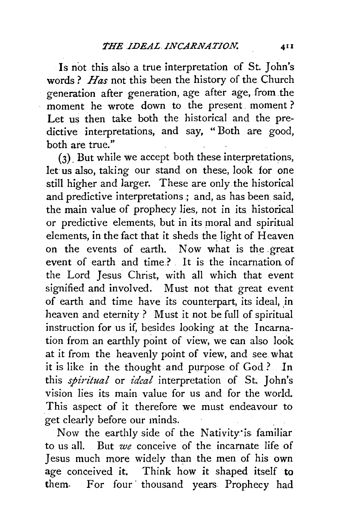Is not this also a true interpretation of St. John's words ? *Has* not this been the history of the Church generation after generation, age after age, from the moment he wrote down to the present. moment ? Let us then take both the historical and the predictive interpretations, and say, " Both are good, both are true."

(3). But while we accept both these interpretations, let us also, taking our stand on these, look for one still higher and larger. These are only. the historical and predictive interpretations ; and, as has been said, the main value of prophecy lies, not in its historical or predictive elements, but in its moral and spiritual elements, in the fact that it sheds the light of Heaven on the events of earth. Now what is the \_great event of earth and time} It is the incarnation of the Lord Jesus Christ, with all which that event signified and involved. Must not that great event of earth and time have its counterpart, its ideal, in heaven and eternity ? Must it not be full of spiritual instruction for us if, besides looking at the Incarnation from an earthly point of view, we can also look at it from the heavenly point of view, and see. what it is like in the thought. and purpose of God.? *ln*  this *spiritual* or *ideal* interpretation of St. John's vision lies its main value for us and for the world. This aspect of it therefore we must endeavour to get clearly before our minds.

Now the earthly side of the Nativity'is familiar to us all. But *we* conceive of the incarnate life of Jesus much more widely than the men of his own age conceived it. Think how it shaped itself to them. For four thousand years Prophecy had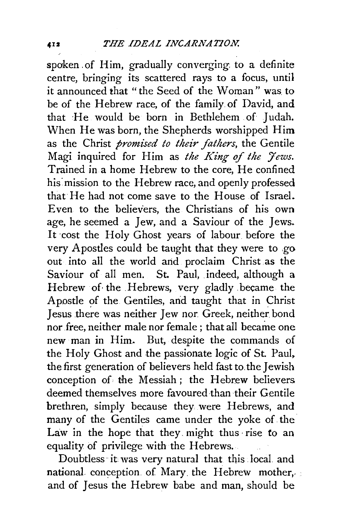spoken. of Him, gradually converging. to a definite centre, bringing its scattered rays to a focus, until it announced that "the Seed of the Woman" was to be of the Hebrew race, of the family of David, and that ~He would be born in Bethlehem of Judah. When He was born, the Shepherds worshipped Him as the Christ *promised to their fathers*, the Gentile Magi inquired for Him as *the King of the Jews*. Trained in a home Hebrew to the core, He confined his mission to the Hebrew race, and openly professed that He had not come save to the House of Israel. Even to the believers, the Christians of his own age, he seemed a Jew, and a Saviour of the Jews. It cost the Holy Ghost years of labour before the very Apostles could be taught that they were to .go out into all the world and proclaim Christ as the Saviour of all men. St. Paul, indeed, although a Hebrew of· the .Hebrews, very gladly became the Apostle of the Gentiles, and taught that in Christ Jesus there was neither Jew nor. Greek, neither. bond nor free, neither male nor female ; that all became one new man in Him. But, despite the commands of the Holy Ghost and the passionate logic of St. Paul. the first generation of believers held fast to. the Jewish conception of the Messiah ; the Hebrew believers deemed themselves more favoured than ·their Gentile brethren, simply because they were Hebrews, and many of the Gentiles came under the yoke of the Law in the hope that they. might thus ·rise *to* an equality of privilege with the Hebrews.

Doubtless it was very natural that this local and national conception of Mary the Hebrew mother, and of Jesus the Hebrew babe and man, should be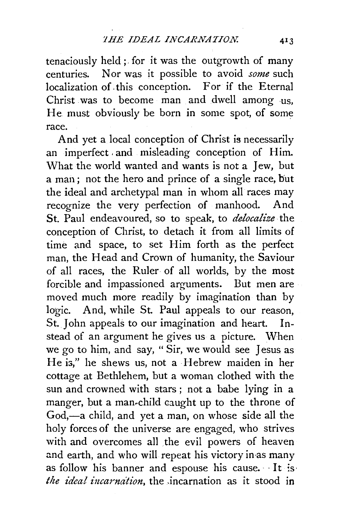tenaciously held ; for it was the outgrowth of many centuries. Nor was it possible to avoid *some* such localization of. this conception. For if the Eternal Christ was to become man and dwell among us, He. must obviously be born in some spot, of some race.

And yet a local conception of Christ is necessarily an imperfect, and misleading conception of Him. What the world wanted and wants is not a Jew, but a man; not the hero and prince of a single race, but the ideal and archetypal man in whom all races may recognize the very perfection of manhood. And St. Paul endeavoured, so to speak, to *delocalize* the conception of Christ, to detach it from all limits of time and space, to set Him forth as the perfect man, the Head and Crown of humanity, the Saviour of all races, the Ruler of all worlds, by the most forcible and impassioned arguments. But men are moved much more readily by imagination than by logic. And, while St. Paul appeals to our reason, St. John appeals to our imagination and heart. Instead of an argument he gives us a picture. When we go to him, and say, " Sir, we would see Jesus as He is," he shews us, not a Hebrew maiden in her cottage at Bethlehem, but a woman clothed with the sun and crowned with stars ; not a babe lying in a manger, but a man-child caught up to the throne of God,-a child, and yet a man, on whose side all the holy forces of the universe are engaged, who strives with and overcomes all the evil powers of heaven and earth, and who will repeat his victory in as many as follow his banner and espouse his cause. It is *the ideal incarnation*, the incarnation as it stood in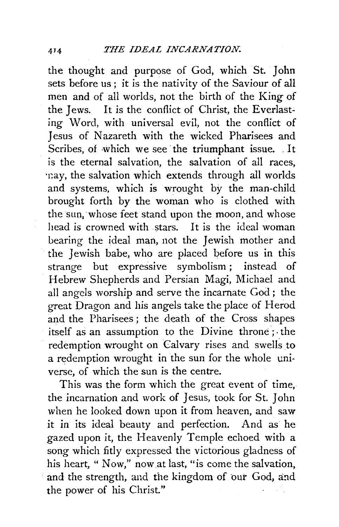the thought and purpose of God, which St. John sets before us ; it is the nativity of the Saviour of all men and of all worlds, not the birth of the King of the Jews. It is the conflict of Christ, the Everlasting Word, with universal evil, not the conflict of Jesus of Nazareth with the wicked Pharisees and Scribes, of which we see the triumphant issue .. It is the eternal salvation, the salvation of all races, ·r:ay, the salvation which extends through all worlds and systems, which is wrought by the man-child brought forth by the woman who is clothed with the sun, whose feet stand upon the moon, and whose<br>head is crowned with stars. It is the ideal woman head is crowned with stars. bearing the ideal man, not the Jewish mother and the Jewish babe, who are placed before us in this strange but expressive symbolism ; instead of Hebrew Shepherds and Persian Magi, Michael and all angels worship and serve the incarnate God ; the great Dragon and his angels take the place of Herod and the Pharisees ; the death of the Cross shapes itself as an assumption to the Divine throne; ·the redemption wrought on Calvary rises and swells to a redemption wrought in the sun for the whole universe, of which the sun is the centre.

This was the form which the great event of time, the incarnation and work of Jesus, took for St. John when he looked down upon it from heaven, and saw it in its ideal beauty and perfection. And as he gazed upon it, the Heavenly Temple echoed with a song which fitly expressed the victorious gladness of his heart, " Now," now at last, "is come the salvation, and the strength, and the kingdom of our God, and the power of his Christ."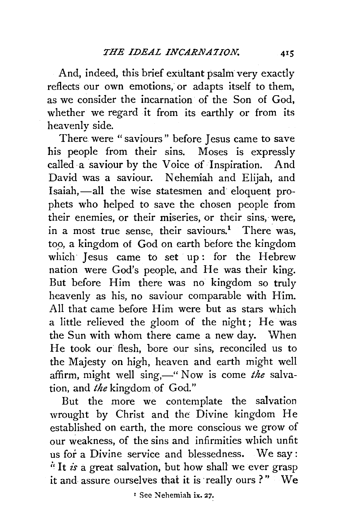And, indeed, this brief exultant psalm very exactly reflects our own emotions, or adapts itself to them, as we consider the incarnation of the Son of God, whether we regard it from its earthly or from its heavenly side.

There were "saviours" before Jesus came to save his people from their sins. Moses is expressly called a saviour by the Voice of Inspiration. And David was a saviour. Nehemiah and Elijah, and Isaiah,-all the wise statesmen and eloquent prophets who helped to save the chosen people from their enemies, or their miseries, or their sins, were, in a most true sense, their saviours.<sup>1</sup> There was, *top,* a kingdom of God on earth before the kingdom which Jesus came to set up: for the Hebrew nation were God's people, and He was their king. But before Him there was no kingdom so truly heavenly as his, no saviour comparable with Him. All that came before Him were but as stars which a little relieved the gloom of the night; He was the Sun with whom there came a new day. When He took our flesh, bore our sins, reconciled us to the Majesty on high, heaven and earth might well affirm, might well sing,—" Now is come the salvation, and *the* kingdom of God."

But the more we contemplate the salvation wrought by Christ and the Divine kingdom He established on earth, the more conscious we grow of our weakness, of the sins and infirmities which unfit us for a Divine service and blessedness. We say : <sup>i</sup>f It *is* a great salvation, but how shall we ever grasp it and assure ourselves that it is really ours ?" We

<sup>1</sup> See Nehemiah ix. 27.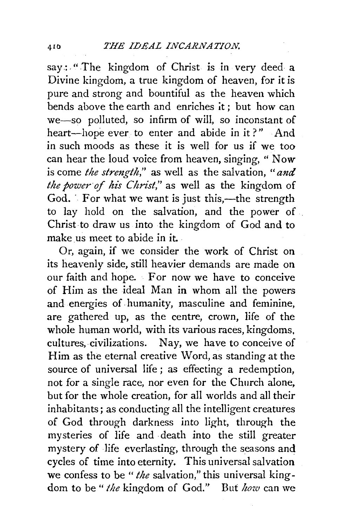say: "The kingdom of Christ is in very deed a Divine kingdom, a true kingdom of heaven, for it is pure and strong and bountiful as the heaven which bends above the earth and enriches it ; but how can we-so polluted, so infirm of will, so inconstant of heart-hope ever to enter and abide in it?" And in such moods as these it is well for us if we too can hear the loud voice from heaven, singing, " Now is come *the strength,"* as well as the salvation, *"and the power of his Christ,"* as well as the kingdom of  $God.$  For what we want is just this,—the strength to lay hold on the salvation, and the power of Christ to draw us into the kingdom of God and to make us meet to abide in it.

Or, again, if we consider the work of Christ on its heavenly side, still heavier demands are made on our faith and hope. For now we have to conceive of Him as the ideal Man in whom all the powers and energies of humanity, masculine and feminine, are gathered up, as the centre, crown, life of the whole human world, with its various races, kingdoms, cultures, civilizations. Nay, we have to conceive of Him as the eternal creative Word, as standing at the source of universal life; as effecting a redemption, not for a single race, nor even for the Church alone, but for the whole creation, for all worlds and all their inhabitants; as conducting all the intelligent creatures of God through darkness into light, through the mysteries of life and death into the still greater mystery of life everlasting, through the seasons and cycles of time into eternity. This universal salvation we confess to be *"the* salvation," this universal kingdom to be " *the* kingdom of God." But *how* can we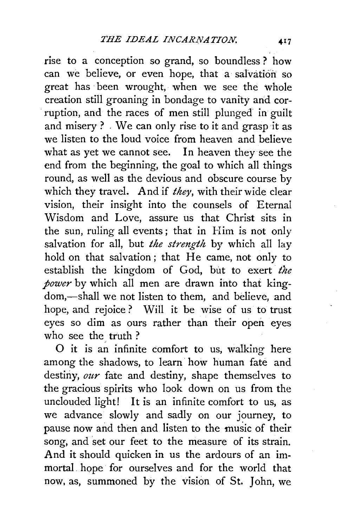rise to a conception so grand, so boundless ? how can we believe, or even hope, that a salvation so great has been wrought, when we see the whole creation still groaning in bondage to vanity and corruption, and the races of men still plunged in guilt and misery? . We can only rise to it and grasp it as we listen to the loud voice from heaven and believe what as yet we cannot see. In heaven they see the end from the beginning, the goal to which all things round, as well as the devious and obscure course by which they travel. And if *they,* with their wide clear vision, their insight into the counsels of Eternal Wisdom and Love, assure us that Christ sits in the sun, ruling all events; that in Him is not only salvation for all, but *the strength* by which all lay hold on that salvation; that He came, not only to establish the kingdom of God, but to exert the *power* by which all men are drawn into that kingdom,-shall we not listen to them, and believe, and hope, and rejoice ? Will it be wise of us to trust eyes so dim as ours rather than their open eyes who see the truth ?

O it is an infinite comfort to us, walking here among the shadows, to learn how human fate and destiny, *our* fate and destiny, shape themselves to the gracious spirits who look down on us from the unclouded light! It is an infinite comfort to us, as we advance slowly and sadly on our journey, to pause now and then and listen to the music of their song, and set our feet to the measure of its strain. And it should quicken in us the ardours of an immortal hope for ourselves and for the world that now, as, summoned by the vision of St. John, we